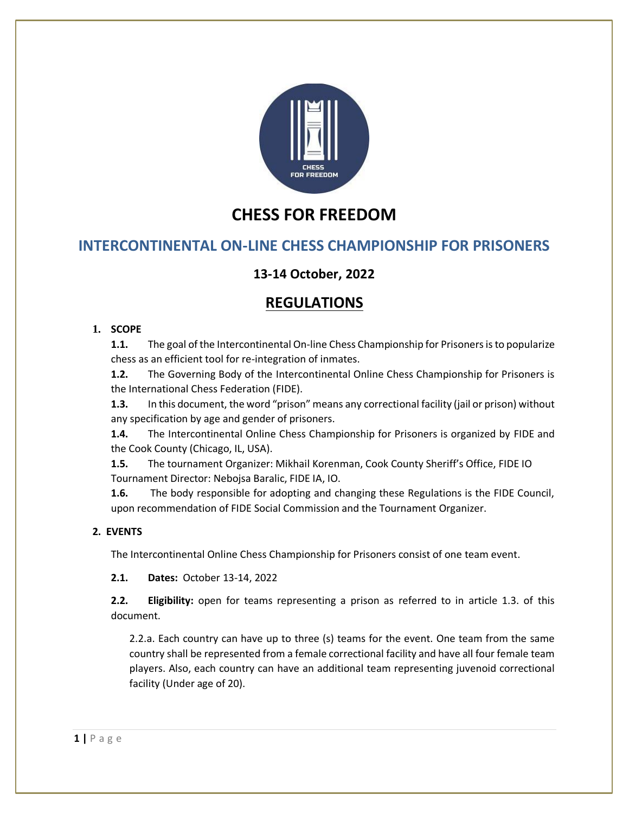

# **CHESS FOR FREEDOM**

## **INTERCONTINENTAL ON-LINE CHESS CHAMPIONSHIP FOR PRISONERS**

## **13-14 October, 2022**

## **REGULATIONS**

## **1. SCOPE**

**1.1.** The goal of the Intercontinental On-line Chess Championship for Prisoners is to popularize chess as an efficient tool for re-integration of inmates.

**1.2.** The Governing Body of the Intercontinental Online Chess Championship for Prisoners is the International Chess Federation (FIDE).

**1.3.** In this document, the word "prison" means any correctional facility (jail or prison) without any specification by age and gender of prisoners.

**1.4.** The Intercontinental Online Chess Championship for Prisoners is organized by FIDE and the Cook County (Chicago, IL, USA).

**1.5.** The tournament Organizer: Mikhail Korenman, Cook County Sheriff's Office, FIDE IO Tournament Director: Nebojsa Baralic, FIDE IA, IO.

**1.6.** The body responsible for adopting and changing these Regulations is the FIDE Council, upon recommendation of FIDE Social Commission and the Tournament Organizer.

## **2. EVENTS**

The Intercontinental Online Chess Championship for Prisoners consist of one team event.

**2.1. Dates:** October 13-14, 2022

**2.2. Eligibility:** open for teams representing a prison as referred to in article 1.3. of this document.

2.2.a. Each country can have up to three (s) teams for the event. One team from the same country shall be represented from a female correctional facility and have all four female team players. Also, each country can have an additional team representing juvenoid correctional facility (Under age of 20).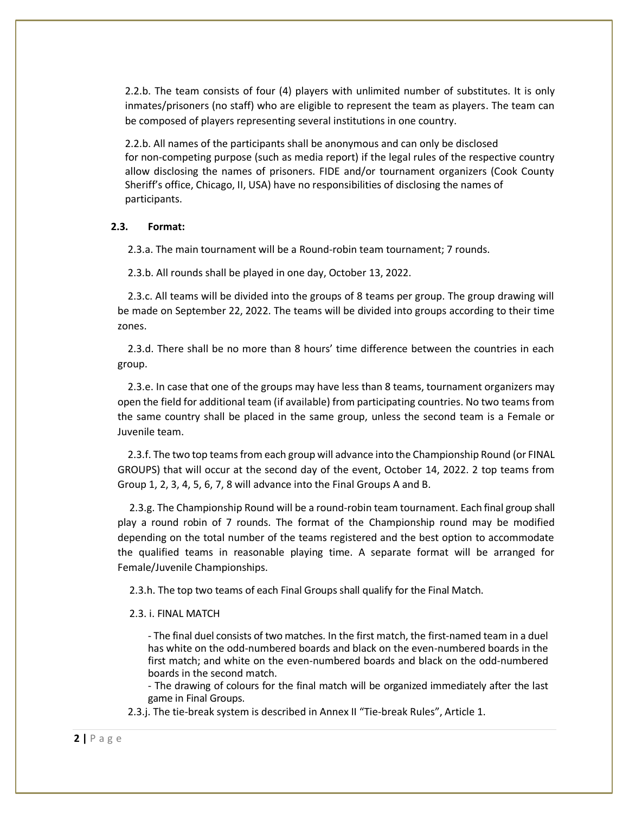2.2.b. The team consists of four (4) players with unlimited number of substitutes. It is only inmates/prisoners (no staff) who are eligible to represent the team as players. The team can be composed of players representing several institutions in one country.

2.2.b. All names of the participants shall be anonymous and can only be disclosed for non-competing purpose (such as media report) if the legal rules of the respective country allow disclosing the names of prisoners. FIDE and/or tournament organizers (Cook County Sheriff's office, Chicago, II, USA) have no responsibilities of disclosing the names of participants.

#### **2.3. Format:**

2.3.a. The main tournament will be a Round-robin team tournament; 7 rounds.

2.3.b. All rounds shall be played in one day, October 13, 2022.

 2.3.c. All teams will be divided into the groups of 8 teams per group. The group drawing will be made on September 22, 2022. The teams will be divided into groups according to their time zones.

 2.3.d. There shall be no more than 8 hours' time difference between the countries in each group.

 2.3.e. In case that one of the groups may have less than 8 teams, tournament organizers may open the field for additional team (if available) from participating countries. No two teams from the same country shall be placed in the same group, unless the second team is a Female or Juvenile team.

 2.3.f. The two top teams from each group will advance into the Championship Round (or FINAL GROUPS) that will occur at the second day of the event, October 14, 2022. 2 top teams from Group 1, 2, 3, 4, 5, 6, 7, 8 will advance into the Final Groups A and B.

2.3.g. The Championship Round will be a round-robin team tournament. Each final group shall play a round robin of 7 rounds. The format of the Championship round may be modified depending on the total number of the teams registered and the best option to accommodate the qualified teams in reasonable playing time. A separate format will be arranged for Female/Juvenile Championships.

2.3.h. The top two teams of each Final Groups shall qualify for the Final Match.

#### 2.3. i. FINAL MATCH

- The final duel consists of two matches. In the first match, the first-named team in a duel has white on the odd-numbered boards and black on the even-numbered boards in the first match; and white on the even-numbered boards and black on the odd-numbered boards in the second match.

- The drawing of colours for the final match will be organized immediately after the last game in Final Groups.

2.3.j. The tie-break system is described in Annex II "Tie-break Rules", Article 1.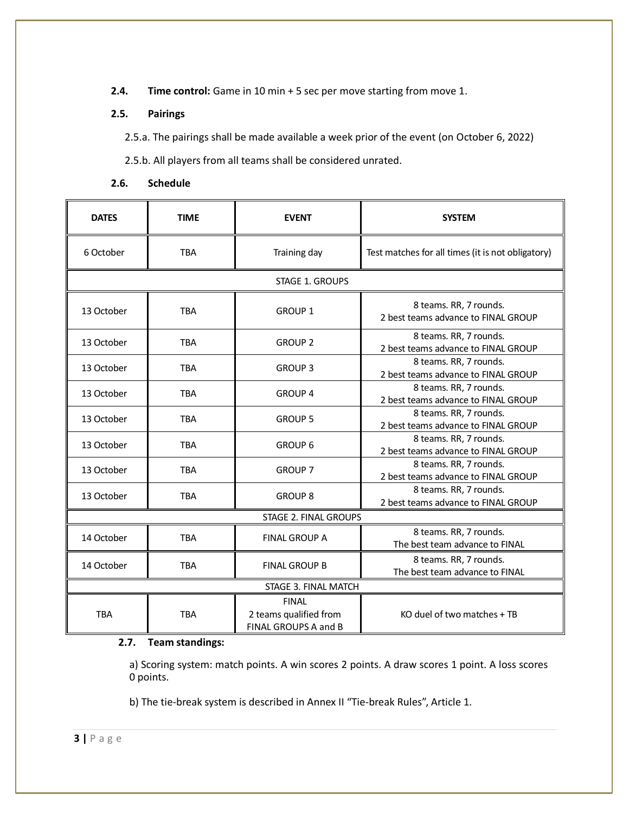**2.4. Time control:** Game in 10 min + 5 sec per move starting from move 1.

### **2.5. Pairings**

2.5.a. The pairings shall be made available a week prior of the event (on October 6, 2022)

2.5.b. All players from all teams shall be considered unrated.

| <b>DATES</b>          | <b>TIME</b> | <b>EVENT</b>                                                   | <b>SYSTEM</b>                                                 |  |
|-----------------------|-------------|----------------------------------------------------------------|---------------------------------------------------------------|--|
| 6 October             | <b>TBA</b>  | Training day                                                   | Test matches for all times (it is not obligatory)             |  |
| STAGE 1. GROUPS       |             |                                                                |                                                               |  |
| 13 October            | <b>TBA</b>  | <b>GROUP 1</b>                                                 | 8 teams. RR, 7 rounds.<br>2 best teams advance to FINAL GROUP |  |
| 13 October            | <b>TBA</b>  | <b>GROUP 2</b>                                                 | 8 teams. RR, 7 rounds.<br>2 best teams advance to FINAL GROUP |  |
| 13 October            | <b>TBA</b>  | <b>GROUP 3</b>                                                 | 8 teams. RR, 7 rounds.<br>2 best teams advance to FINAL GROUP |  |
| 13 October            | <b>TBA</b>  | <b>GROUP 4</b>                                                 | 8 teams. RR, 7 rounds.<br>2 best teams advance to FINAL GROUP |  |
| 13 October            | <b>TBA</b>  | <b>GROUP 5</b>                                                 | 8 teams. RR, 7 rounds.<br>2 best teams advance to FINAL GROUP |  |
| 13 October            | <b>TBA</b>  | <b>GROUP 6</b>                                                 | 8 teams. RR, 7 rounds.<br>2 best teams advance to FINAL GROUP |  |
| 13 October            | <b>TBA</b>  | <b>GROUP 7</b>                                                 | 8 teams. RR, 7 rounds.<br>2 best teams advance to FINAL GROUP |  |
| 13 October            | <b>TBA</b>  | <b>GROUP 8</b>                                                 | 8 teams. RR, 7 rounds.<br>2 best teams advance to FINAL GROUP |  |
| STAGE 2. FINAL GROUPS |             |                                                                |                                                               |  |
| 14 October            | <b>TBA</b>  | <b>FINAL GROUP A</b>                                           | 8 teams. RR, 7 rounds.<br>The best team advance to FINAL      |  |
| 14 October            | <b>TBA</b>  | <b>FINAL GROUP B</b>                                           | 8 teams. RR, 7 rounds.<br>The best team advance to FINAL      |  |
| STAGE 3. FINAL MATCH  |             |                                                                |                                                               |  |
| <b>TBA</b>            | <b>TBA</b>  | <b>FINAL</b><br>2 teams qualified from<br>FINAL GROUPS A and B | KO duel of two matches + TB                                   |  |

#### **2.6. Schedule**

#### **2.7. Team standings:**

a) Scoring system: match points. A win scores 2 points. A draw scores 1 point. A loss scores 0 points.

b) The tie-break system is described in Annex II "Tie-break Rules", Article 1.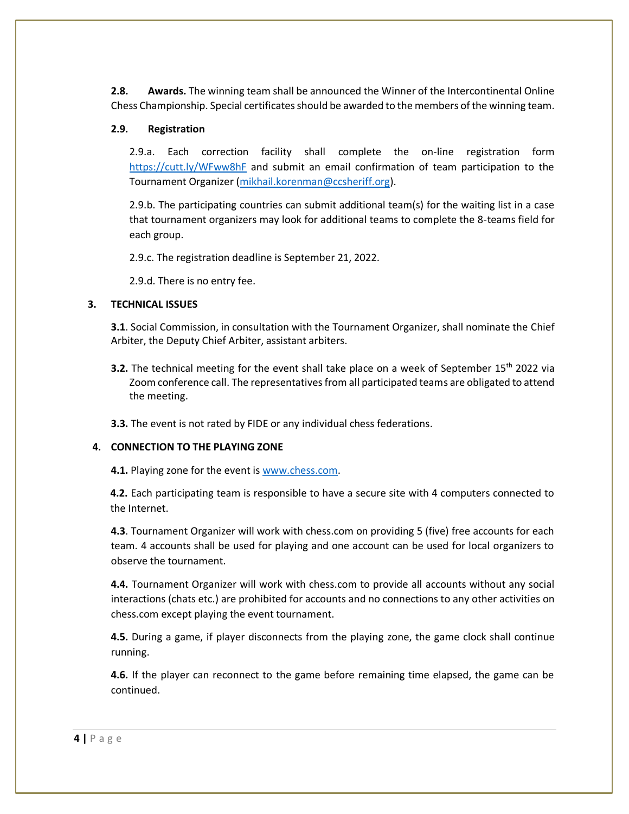**2.8. Awards.** The winning team shall be announced the Winner of the Intercontinental Online Chess Championship. Special certificates should be awarded to the members of the winning team.

#### **2.9. Registration**

2.9.a. Each correction facility shall complete the on-line registration form <https://cutt.ly/WFww8hF> and submit an email confirmation of team participation to the Tournament Organizer [\(mikhail.korenman@ccsheriff.org\)](mailto:mikhail.korenman@ccsheriff.org).

2.9.b. The participating countries can submit additional team(s) for the waiting list in a case that tournament organizers may look for additional teams to complete the 8-teams field for each group.

2.9.c. The registration deadline is September 21, 2022.

2.9.d. There is no entry fee.

### **3. TECHNICAL ISSUES**

**3.1**. Social Commission, in consultation with the Tournament Organizer, shall nominate the Chief Arbiter, the Deputy Chief Arbiter, assistant arbiters.

**3.2.** The technical meeting for the event shall take place on a week of September 15<sup>th</sup> 2022 via Zoom conference call. The representatives from all participated teams are obligated to attend the meeting.

**3.3.** The event is not rated by FIDE or any individual chess federations.

## **4. CONNECTION TO THE PLAYING ZONE**

**4.1.** Playing zone for the event is [www.chess.com.](http://www.chess.com/)

**4.2.** Each participating team is responsible to have a secure site with 4 computers connected to the Internet.

**4.3**. Tournament Organizer will work with chess.com on providing 5 (five) free accounts for each team. 4 accounts shall be used for playing and one account can be used for local organizers to observe the tournament.

**4.4.** Tournament Organizer will work with chess.com to provide all accounts without any social interactions (chats etc.) are prohibited for accounts and no connections to any other activities on chess.com except playing the event tournament.

**4.5.** During a game, if player disconnects from the playing zone, the game clock shall continue running.

**4.6.** If the player can reconnect to the game before remaining time elapsed, the game can be continued.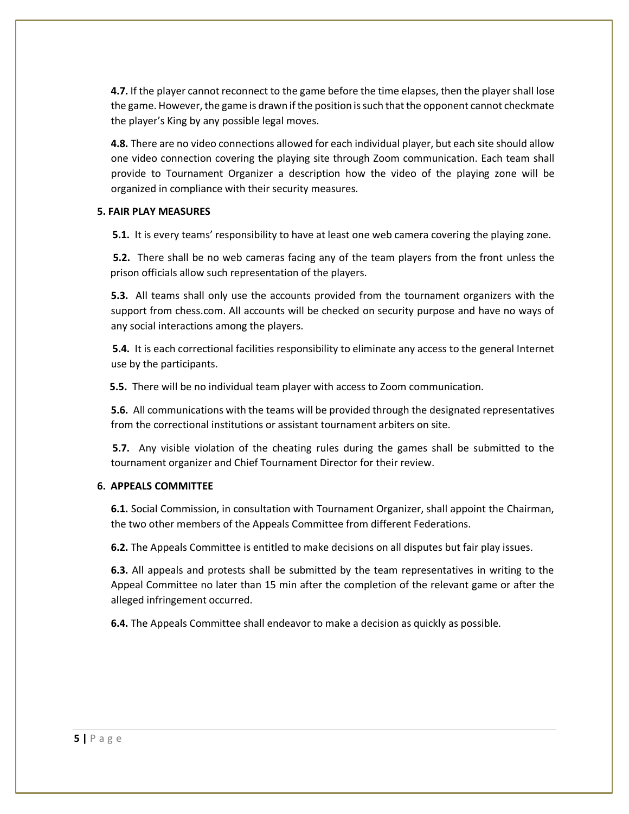**4.7.** If the player cannot reconnect to the game before the time elapses, then the player shall lose the game. However, the game is drawn if the position is such that the opponent cannot checkmate the player's King by any possible legal moves.

**4.8.** There are no video connections allowed for each individual player, but each site should allow one video connection covering the playing site through Zoom communication. Each team shall provide to Tournament Organizer a description how the video of the playing zone will be organized in compliance with their security measures.

#### **5. FAIR PLAY MEASURES**

**5.1.** It is every teams' responsibility to have at least one web camera covering the playing zone.

**5.2.** There shall be no web cameras facing any of the team players from the front unless the prison officials allow such representation of the players.

**5.3.** All teams shall only use the accounts provided from the tournament organizers with the support from chess.com. All accounts will be checked on security purpose and have no ways of any social interactions among the players.

**5.4.** It is each correctional facilities responsibility to eliminate any access to the general Internet use by the participants.

**5.5.** There will be no individual team player with access to Zoom communication.

**5.6.** All communications with the teams will be provided through the designated representatives from the correctional institutions or assistant tournament arbiters on site.

**5.7.** Any visible violation of the cheating rules during the games shall be submitted to the tournament organizer and Chief Tournament Director for their review.

#### **6. APPEALS COMMITTEE**

**6.1.** Social Commission, in consultation with Tournament Organizer, shall appoint the Chairman, the two other members of the Appeals Committee from different Federations.

**6.2.** The Appeals Committee is entitled to make decisions on all disputes but fair play issues.

**6.3.** All appeals and protests shall be submitted by the team representatives in writing to the Appeal Committee no later than 15 min after the completion of the relevant game or after the alleged infringement occurred.

**6.4.** The Appeals Committee shall endeavor to make a decision as quickly as possible.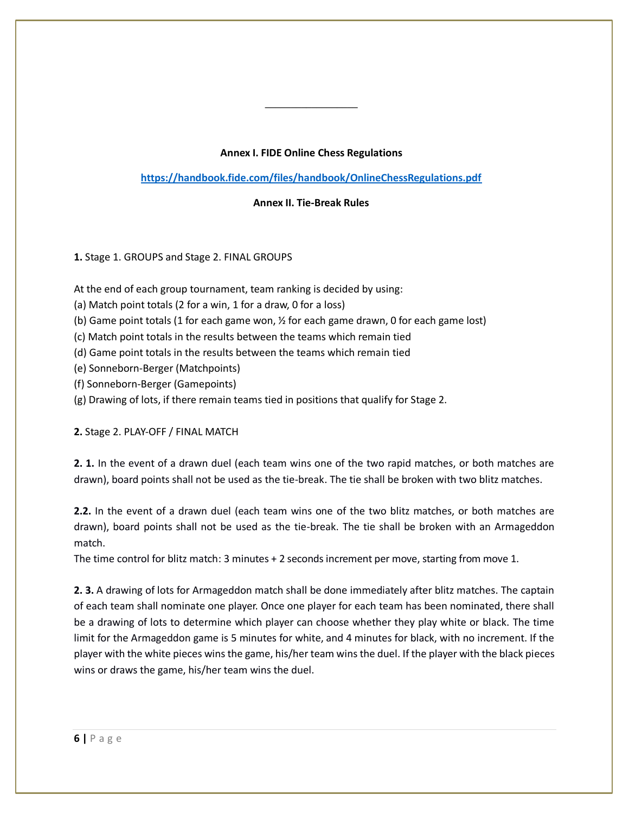#### **Annex I. FIDE Online Chess Regulations**

**<https://handbook.fide.com/files/handbook/OnlineChessRegulations.pdf>**

**Annex II. Tie-Break Rules**

## **1.** Stage 1. GROUPS and Stage 2. FINAL GROUPS

At the end of each group tournament, team ranking is decided by using:

(a) Match point totals (2 for a win, 1 for a draw, 0 for a loss)

(b) Game point totals (1 for each game won, ½ for each game drawn, 0 for each game lost)

(c) Match point totals in the results between the teams which remain tied

(d) Game point totals in the results between the teams which remain tied

(e) Sonneborn-Berger (Matchpoints)

(f) Sonneborn-Berger (Gamepoints)

(g) Drawing of lots, if there remain teams tied in positions that qualify for Stage 2.

**2.** Stage 2. PLAY-OFF / FINAL MATCH

**2. 1.** In the event of a drawn duel (each team wins one of the two rapid matches, or both matches are drawn), board points shall not be used as the tie-break. The tie shall be broken with two blitz matches.

**2.2.** In the event of a drawn duel (each team wins one of the two blitz matches, or both matches are drawn), board points shall not be used as the tie-break. The tie shall be broken with an Armageddon match.

The time control for blitz match: 3 minutes + 2 seconds increment per move, starting from move 1.

**2. 3.** A drawing of lots for Armageddon match shall be done immediately after blitz matches. The captain of each team shall nominate one player. Once one player for each team has been nominated, there shall be a drawing of lots to determine which player can choose whether they play white or black. The time limit for the Armageddon game is 5 minutes for white, and 4 minutes for black, with no increment. If the player with the white pieces wins the game, his/her team wins the duel. If the player with the black pieces wins or draws the game, his/her team wins the duel.